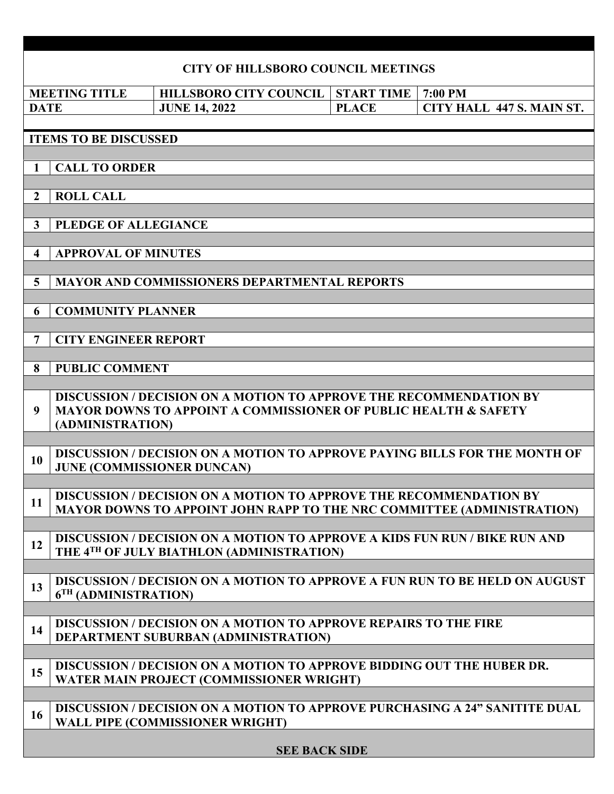| <b>CITY OF HILLSBORO COUNCIL MEETINGS</b> |                                                                                                                                                                             |  |                                                                         |  |                      |                   |  |         |                                                                                    |  |  |
|-------------------------------------------|-----------------------------------------------------------------------------------------------------------------------------------------------------------------------------|--|-------------------------------------------------------------------------|--|----------------------|-------------------|--|---------|------------------------------------------------------------------------------------|--|--|
|                                           | <b>MEETING TITLE</b>                                                                                                                                                        |  | <b>HILLSBORO CITY COUNCIL</b>                                           |  |                      | <b>START TIME</b> |  | 7:00 PM |                                                                                    |  |  |
| <b>DATE</b>                               |                                                                                                                                                                             |  | <b>JUNE 14, 2022</b>                                                    |  |                      | <b>PLACE</b>      |  |         | CITY HALL 447 S. MAIN ST.                                                          |  |  |
|                                           |                                                                                                                                                                             |  |                                                                         |  |                      |                   |  |         |                                                                                    |  |  |
|                                           | <b>ITEMS TO BE DISCUSSED</b>                                                                                                                                                |  |                                                                         |  |                      |                   |  |         |                                                                                    |  |  |
| <b>CALL TO ORDER</b><br>$\mathbf{1}$      |                                                                                                                                                                             |  |                                                                         |  |                      |                   |  |         |                                                                                    |  |  |
|                                           |                                                                                                                                                                             |  |                                                                         |  |                      |                   |  |         |                                                                                    |  |  |
| $\overline{2}$                            | <b>ROLL CALL</b>                                                                                                                                                            |  |                                                                         |  |                      |                   |  |         |                                                                                    |  |  |
| $\mathbf{3}$                              |                                                                                                                                                                             |  |                                                                         |  |                      |                   |  |         |                                                                                    |  |  |
| PLEDGE OF ALLEGIANCE                      |                                                                                                                                                                             |  |                                                                         |  |                      |                   |  |         |                                                                                    |  |  |
| <b>APPROVAL OF MINUTES</b><br>4           |                                                                                                                                                                             |  |                                                                         |  |                      |                   |  |         |                                                                                    |  |  |
|                                           |                                                                                                                                                                             |  |                                                                         |  |                      |                   |  |         |                                                                                    |  |  |
|                                           | <b>MAYOR AND COMMISSIONERS DEPARTMENTAL REPORTS</b><br>$\overline{5}$                                                                                                       |  |                                                                         |  |                      |                   |  |         |                                                                                    |  |  |
| 6                                         | <b>COMMUNITY PLANNER</b>                                                                                                                                                    |  |                                                                         |  |                      |                   |  |         |                                                                                    |  |  |
|                                           |                                                                                                                                                                             |  |                                                                         |  |                      |                   |  |         |                                                                                    |  |  |
| $7\phantom{.0}$                           | <b>CITY ENGINEER REPORT</b>                                                                                                                                                 |  |                                                                         |  |                      |                   |  |         |                                                                                    |  |  |
|                                           |                                                                                                                                                                             |  |                                                                         |  |                      |                   |  |         |                                                                                    |  |  |
| 8                                         | <b>PUBLIC COMMENT</b>                                                                                                                                                       |  |                                                                         |  |                      |                   |  |         |                                                                                    |  |  |
| 9                                         | <b>DISCUSSION / DECISION ON A MOTION TO APPROVE THE RECOMMENDATION BY</b><br><b>MAYOR DOWNS TO APPOINT A COMMISSIONER OF PUBLIC HEALTH &amp; SAFETY</b><br>(ADMINISTRATION) |  |                                                                         |  |                      |                   |  |         |                                                                                    |  |  |
|                                           |                                                                                                                                                                             |  |                                                                         |  |                      |                   |  |         |                                                                                    |  |  |
| 10                                        |                                                                                                                                                                             |  | <b>JUNE (COMMISSIONER DUNCAN)</b>                                       |  |                      |                   |  |         | DISCUSSION / DECISION ON A MOTION TO APPROVE PAYING BILLS FOR THE MONTH OF         |  |  |
|                                           |                                                                                                                                                                             |  | DISCUSSION / DECISION ON A MOTION TO APPROVE THE RECOMMENDATION BY      |  |                      |                   |  |         |                                                                                    |  |  |
| 11                                        |                                                                                                                                                                             |  |                                                                         |  |                      |                   |  |         | <b>MAYOR DOWNS TO APPOINT JOHN RAPP TO THE NRC COMMITTEE (ADMINISTRATION)</b>      |  |  |
|                                           |                                                                                                                                                                             |  |                                                                         |  |                      |                   |  |         | <b>DISCUSSION / DECISION ON A MOTION TO APPROVE A KIDS FUN RUN / BIKE RUN AND</b>  |  |  |
| 12                                        |                                                                                                                                                                             |  | THE 4TH OF JULY BIATHLON (ADMINISTRATION)                               |  |                      |                   |  |         |                                                                                    |  |  |
|                                           |                                                                                                                                                                             |  |                                                                         |  |                      |                   |  |         |                                                                                    |  |  |
| 13                                        | 6 <sup>TH</sup> (ADMINISTRATION)                                                                                                                                            |  |                                                                         |  |                      |                   |  |         | <b>DISCUSSION / DECISION ON A MOTION TO APPROVE A FUN RUN TO BE HELD ON AUGUST</b> |  |  |
|                                           |                                                                                                                                                                             |  |                                                                         |  |                      |                   |  |         |                                                                                    |  |  |
| 14                                        |                                                                                                                                                                             |  | <b>DISCUSSION / DECISION ON A MOTION TO APPROVE REPAIRS TO THE FIRE</b> |  |                      |                   |  |         |                                                                                    |  |  |
|                                           |                                                                                                                                                                             |  | DEPARTMENT SUBURBAN (ADMINISTRATION)                                    |  |                      |                   |  |         |                                                                                    |  |  |
|                                           |                                                                                                                                                                             |  |                                                                         |  |                      |                   |  |         | DISCUSSION / DECISION ON A MOTION TO APPROVE BIDDING OUT THE HUBER DR.             |  |  |
| 15                                        |                                                                                                                                                                             |  | WATER MAIN PROJECT (COMMISSIONER WRIGHT)                                |  |                      |                   |  |         |                                                                                    |  |  |
|                                           |                                                                                                                                                                             |  |                                                                         |  |                      |                   |  |         |                                                                                    |  |  |
| 16                                        |                                                                                                                                                                             |  | WALL PIPE (COMMISSIONER WRIGHT)                                         |  |                      |                   |  |         | <b>DISCUSSION / DECISION ON A MOTION TO APPROVE PURCHASING A 24" SANITITE DUAL</b> |  |  |
|                                           |                                                                                                                                                                             |  |                                                                         |  | <b>SEE BACK SIDE</b> |                   |  |         |                                                                                    |  |  |